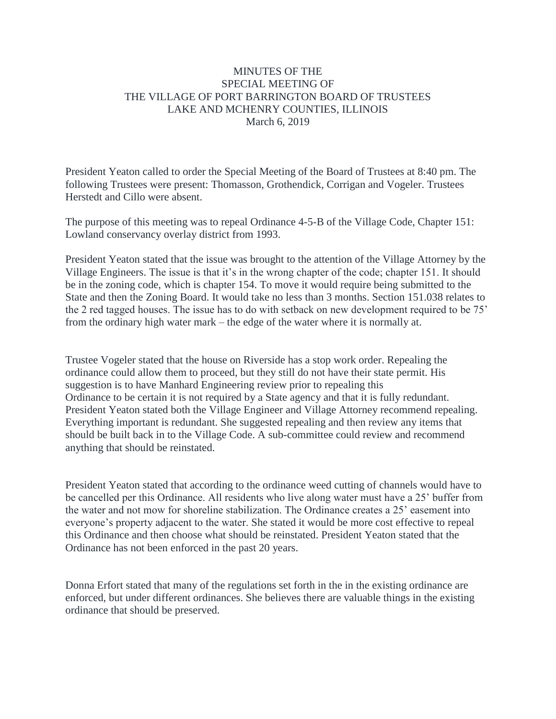## MINUTES OF THE SPECIAL MEETING OF THE VILLAGE OF PORT BARRINGTON BOARD OF TRUSTEES LAKE AND MCHENRY COUNTIES, ILLINOIS March 6, 2019

President Yeaton called to order the Special Meeting of the Board of Trustees at 8:40 pm. The following Trustees were present: Thomasson, Grothendick, Corrigan and Vogeler. Trustees Herstedt and Cillo were absent.

The purpose of this meeting was to repeal Ordinance 4-5-B of the Village Code, Chapter 151: Lowland conservancy overlay district from 1993.

President Yeaton stated that the issue was brought to the attention of the Village Attorney by the Village Engineers. The issue is that it's in the wrong chapter of the code; chapter 151. It should be in the zoning code, which is chapter 154. To move it would require being submitted to the State and then the Zoning Board. It would take no less than 3 months. Section 151.038 relates to the 2 red tagged houses. The issue has to do with setback on new development required to be 75' from the ordinary high water mark – the edge of the water where it is normally at.

Trustee Vogeler stated that the house on Riverside has a stop work order. Repealing the ordinance could allow them to proceed, but they still do not have their state permit. His suggestion is to have Manhard Engineering review prior to repealing this Ordinance to be certain it is not required by a State agency and that it is fully redundant. President Yeaton stated both the Village Engineer and Village Attorney recommend repealing. Everything important is redundant. She suggested repealing and then review any items that should be built back in to the Village Code. A sub-committee could review and recommend anything that should be reinstated.

President Yeaton stated that according to the ordinance weed cutting of channels would have to be cancelled per this Ordinance. All residents who live along water must have a 25' buffer from the water and not mow for shoreline stabilization. The Ordinance creates a 25' easement into everyone's property adjacent to the water. She stated it would be more cost effective to repeal this Ordinance and then choose what should be reinstated. President Yeaton stated that the Ordinance has not been enforced in the past 20 years.

Donna Erfort stated that many of the regulations set forth in the in the existing ordinance are enforced, but under different ordinances. She believes there are valuable things in the existing ordinance that should be preserved.